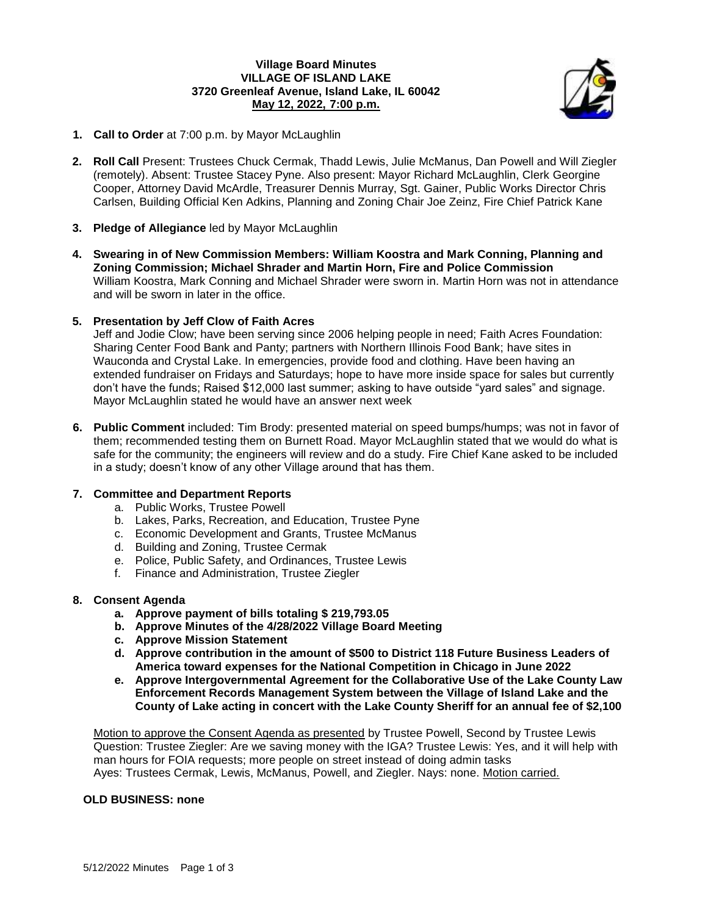# **Village Board Minutes VILLAGE OF ISLAND LAKE 3720 Greenleaf Avenue, Island Lake, IL 60042 May 12, 2022, 7:00 p.m.**



- **1. Call to Order** at 7:00 p.m. by Mayor McLaughlin
- **2. Roll Call** Present: Trustees Chuck Cermak, Thadd Lewis, Julie McManus, Dan Powell and Will Ziegler (remotely). Absent: Trustee Stacey Pyne. Also present: Mayor Richard McLaughlin, Clerk Georgine Cooper, Attorney David McArdle, Treasurer Dennis Murray, Sgt. Gainer, Public Works Director Chris Carlsen, Building Official Ken Adkins, Planning and Zoning Chair Joe Zeinz, Fire Chief Patrick Kane
- **3. Pledge of Allegiance** led by Mayor McLaughlin
- **4. Swearing in of New Commission Members: William Koostra and Mark Conning, Planning and Zoning Commission; Michael Shrader and Martin Horn, Fire and Police Commission** William Koostra, Mark Conning and Michael Shrader were sworn in. Martin Horn was not in attendance and will be sworn in later in the office.
- **5. Presentation by Jeff Clow of Faith Acres**

Jeff and Jodie Clow; have been serving since 2006 helping people in need; Faith Acres Foundation: Sharing Center Food Bank and Panty; partners with Northern Illinois Food Bank; have sites in Wauconda and Crystal Lake. In emergencies, provide food and clothing. Have been having an extended fundraiser on Fridays and Saturdays; hope to have more inside space for sales but currently don't have the funds; Raised \$12,000 last summer; asking to have outside "yard sales" and signage. Mayor McLaughlin stated he would have an answer next week

**6. Public Comment** included: Tim Brody: presented material on speed bumps/humps; was not in favor of them; recommended testing them on Burnett Road. Mayor McLaughlin stated that we would do what is safe for the community; the engineers will review and do a study. Fire Chief Kane asked to be included in a study; doesn't know of any other Village around that has them.

### **7. Committee and Department Reports**

- a. Public Works, Trustee Powell
- b. Lakes, Parks, Recreation, and Education, Trustee Pyne
- c. Economic Development and Grants, Trustee McManus
- d. Building and Zoning, Trustee Cermak
- e. Police, Public Safety, and Ordinances, Trustee Lewis
- f. Finance and Administration, Trustee Ziegler

### **8. Consent Agenda**

- **a. Approve payment of bills totaling \$ 219,793.05**
- **b. Approve Minutes of the 4/28/2022 Village Board Meeting**
- **c. Approve Mission Statement**
- **d. Approve contribution in the amount of \$500 to District 118 Future Business Leaders of America toward expenses for the National Competition in Chicago in June 2022**
- **e. Approve Intergovernmental Agreement for the Collaborative Use of the Lake County Law Enforcement Records Management System between the Village of Island Lake and the County of Lake acting in concert with the Lake County Sheriff for an annual fee of \$2,100**

Motion to approve the Consent Agenda as presented by Trustee Powell, Second by Trustee Lewis Question: Trustee Ziegler: Are we saving money with the IGA? Trustee Lewis: Yes, and it will help with man hours for FOIA requests; more people on street instead of doing admin tasks Ayes: Trustees Cermak, Lewis, McManus, Powell, and Ziegler. Nays: none. Motion carried.

### **OLD BUSINESS: none**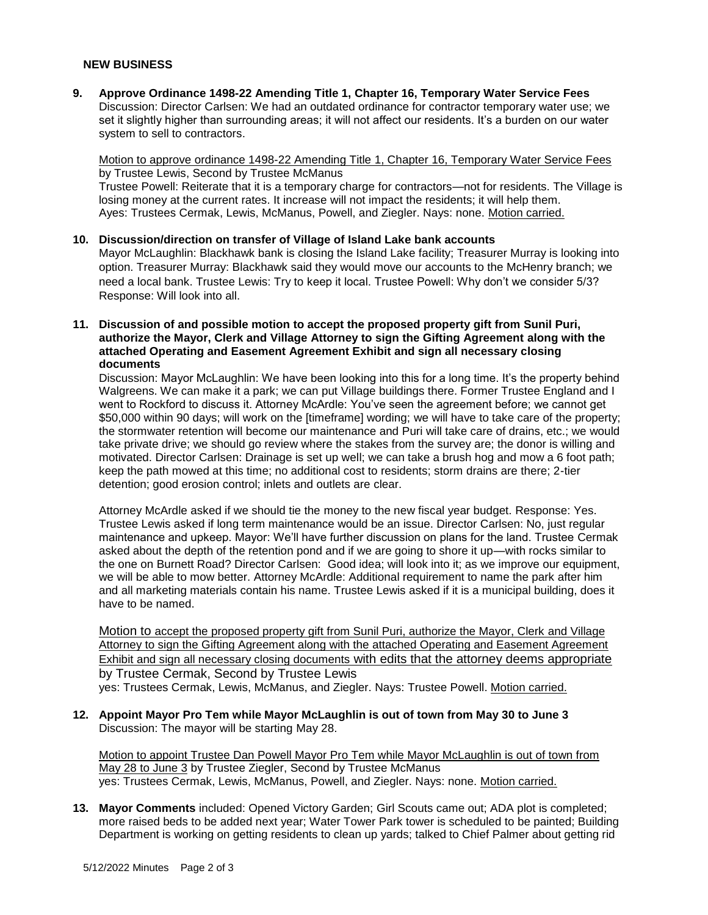#### **NEW BUSINESS**

**9. Approve Ordinance 1498-22 Amending Title 1, Chapter 16, Temporary Water Service Fees** Discussion: Director Carlsen: We had an outdated ordinance for contractor temporary water use; we set it slightly higher than surrounding areas; it will not affect our residents. It's a burden on our water system to sell to contractors.

Motion to approve ordinance 1498-22 Amending Title 1, Chapter 16, Temporary Water Service Fees by Trustee Lewis, Second by Trustee McManus

Trustee Powell: Reiterate that it is a temporary charge for contractors—not for residents. The Village is losing money at the current rates. It increase will not impact the residents; it will help them. Ayes: Trustees Cermak, Lewis, McManus, Powell, and Ziegler. Nays: none. Motion carried.

- **10. Discussion/direction on transfer of Village of Island Lake bank accounts** Mayor McLaughlin: Blackhawk bank is closing the Island Lake facility; Treasurer Murray is looking into option. Treasurer Murray: Blackhawk said they would move our accounts to the McHenry branch; we need a local bank. Trustee Lewis: Try to keep it local. Trustee Powell: Why don't we consider 5/3? Response: Will look into all.
- **11. Discussion of and possible motion to accept the proposed property gift from Sunil Puri, authorize the Mayor, Clerk and Village Attorney to sign the Gifting Agreement along with the attached Operating and Easement Agreement Exhibit and sign all necessary closing documents**

Discussion: Mayor McLaughlin: We have been looking into this for a long time. It's the property behind Walgreens. We can make it a park; we can put Village buildings there. Former Trustee England and I went to Rockford to discuss it. Attorney McArdle: You've seen the agreement before; we cannot get \$50,000 within 90 days; will work on the [timeframe] wording; we will have to take care of the property; the stormwater retention will become our maintenance and Puri will take care of drains, etc.; we would take private drive; we should go review where the stakes from the survey are; the donor is willing and motivated. Director Carlsen: Drainage is set up well; we can take a brush hog and mow a 6 foot path; keep the path mowed at this time; no additional cost to residents; storm drains are there; 2-tier detention; good erosion control; inlets and outlets are clear.

Attorney McArdle asked if we should tie the money to the new fiscal year budget. Response: Yes. Trustee Lewis asked if long term maintenance would be an issue. Director Carlsen: No, just regular maintenance and upkeep. Mayor: We'll have further discussion on plans for the land. Trustee Cermak asked about the depth of the retention pond and if we are going to shore it up—with rocks similar to the one on Burnett Road? Director Carlsen: Good idea; will look into it; as we improve our equipment, we will be able to mow better. Attorney McArdle: Additional requirement to name the park after him and all marketing materials contain his name. Trustee Lewis asked if it is a municipal building, does it have to be named.

Motion to accept the proposed property gift from Sunil Puri, authorize the Mayor, Clerk and Village Attorney to sign the Gifting Agreement along with the attached Operating and Easement Agreement Exhibit and sign all necessary closing documents with edits that the attorney deems appropriate by Trustee Cermak, Second by Trustee Lewis

yes: Trustees Cermak, Lewis, McManus, and Ziegler. Nays: Trustee Powell. Motion carried.

**12. Appoint Mayor Pro Tem while Mayor McLaughlin is out of town from May 30 to June 3** Discussion: The mayor will be starting May 28.

Motion to appoint Trustee Dan Powell Mayor Pro Tem while Mayor McLaughlin is out of town from May 28 to June 3 by Trustee Ziegler, Second by Trustee McManus yes: Trustees Cermak, Lewis, McManus, Powell, and Ziegler. Nays: none. Motion carried.

**13. Mayor Comments** included: Opened Victory Garden; Girl Scouts came out; ADA plot is completed; more raised beds to be added next year; Water Tower Park tower is scheduled to be painted; Building Department is working on getting residents to clean up yards; talked to Chief Palmer about getting rid